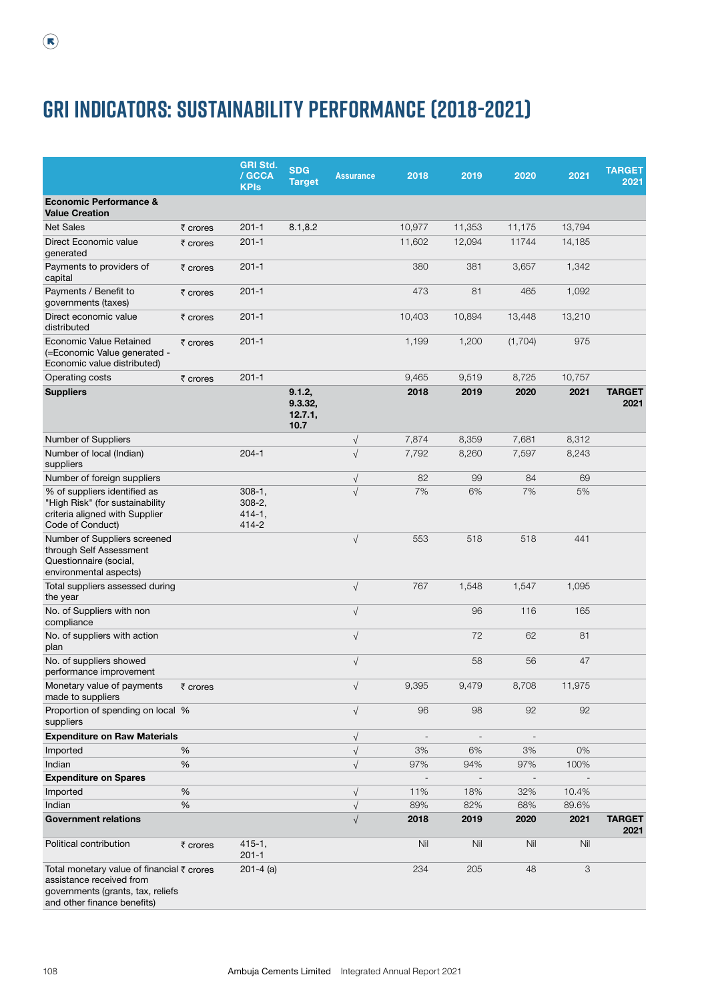|                                                                                                                                                       |          | <b>GRI Std.</b><br>/ GCCA<br><b>KPIs</b>           | <b>SDG</b><br><b>Target</b>          | <b>Assurance</b> | 2018                     | 2019                         | 2020                     | 2021   | <b>TARGET</b><br>2021 |
|-------------------------------------------------------------------------------------------------------------------------------------------------------|----------|----------------------------------------------------|--------------------------------------|------------------|--------------------------|------------------------------|--------------------------|--------|-----------------------|
| <b>Economic Performance &amp;</b><br><b>Value Creation</b>                                                                                            |          |                                                    |                                      |                  |                          |                              |                          |        |                       |
| <b>Net Sales</b>                                                                                                                                      | ₹ crores | $201 - 1$                                          | 8.1, 8.2                             |                  | 10,977                   | 11,353                       | 11,175                   | 13,794 |                       |
| Direct Economic value<br>generated                                                                                                                    | ₹ crores | $201 - 1$                                          |                                      |                  | 11,602                   | 12,094                       | 11744                    | 14,185 |                       |
| Payments to providers of<br>capital                                                                                                                   | ₹ crores | $201 - 1$                                          |                                      |                  | 380                      | 381                          | 3,657                    | 1,342  |                       |
| Payments / Benefit to<br>governments (taxes)                                                                                                          | ₹ crores | $201 - 1$                                          |                                      |                  | 473                      | 81                           | 465                      | 1,092  |                       |
| Direct economic value<br>distributed                                                                                                                  | ₹ crores | $201 - 1$                                          |                                      |                  | 10,403                   | 10,894                       | 13,448                   | 13,210 |                       |
| Economic Value Retained<br>(=Economic Value generated -<br>Economic value distributed)                                                                | ₹ crores | $201 - 1$                                          |                                      |                  | 1,199                    | 1,200                        | (1,704)                  | 975    |                       |
| Operating costs                                                                                                                                       | ₹ crores | $201 - 1$                                          |                                      |                  | 9,465                    | 9,519                        | 8,725                    | 10,757 |                       |
| <b>Suppliers</b>                                                                                                                                      |          |                                                    | 9.1.2,<br>9.3.32,<br>12.7.1,<br>10.7 |                  | 2018                     | 2019                         | 2020                     | 2021   | <b>TARGET</b><br>2021 |
| Number of Suppliers                                                                                                                                   |          |                                                    |                                      | $\sqrt{}$        | 7,874                    | 8,359                        | 7,681                    | 8,312  |                       |
| Number of local (Indian)<br>suppliers                                                                                                                 |          | $204 - 1$                                          |                                      | $\sqrt{ }$       | 7,792                    | 8,260                        | 7,597                    | 8,243  |                       |
| Number of foreign suppliers                                                                                                                           |          |                                                    |                                      | $\sqrt{}$        | 82                       | 99                           | 84                       | 69     |                       |
| % of suppliers identified as<br>"High Risk" (for sustainability<br>criteria aligned with Supplier<br>Code of Conduct)                                 |          | $308-1,$<br>$308 - 2$ ,<br>$414 - 1,$<br>$414 - 2$ |                                      | $\sqrt{}$        | 7%                       | $6\%$                        | 7%                       | 5%     |                       |
| Number of Suppliers screened<br>through Self Assessment<br>Questionnaire (social,<br>environmental aspects)                                           |          |                                                    |                                      | $\sqrt{ }$       | 553                      | 518                          | 518                      | 441    |                       |
| Total suppliers assessed during<br>the year                                                                                                           |          |                                                    |                                      | $\sqrt{ }$       | 767                      | 1,548                        | 1,547                    | 1,095  |                       |
| No. of Suppliers with non<br>compliance                                                                                                               |          |                                                    |                                      | $\sqrt{ }$       |                          | 96                           | 116                      | 165    |                       |
| No. of suppliers with action<br>plan                                                                                                                  |          |                                                    |                                      | $\sqrt{ }$       |                          | 72                           | 62                       | 81     |                       |
| No. of suppliers showed<br>performance improvement                                                                                                    |          |                                                    |                                      | $\sqrt{ }$       |                          | 58                           | 56                       | 47     |                       |
| Monetary value of payments<br>made to suppliers                                                                                                       | ₹ crores |                                                    |                                      | $\sqrt{ }$       | 9,395                    | 9,479                        | 8,708                    | 11,975 |                       |
| Proportion of spending on local %<br>suppliers                                                                                                        |          |                                                    |                                      | $\sqrt{ }$       | 96                       | 98                           | 92                       | 92     |                       |
| <b>Expenditure on Raw Materials</b>                                                                                                                   |          |                                                    |                                      | $\sqrt{ }$       | $\overline{\phantom{a}}$ | $\overline{\phantom{a}}$     |                          |        |                       |
| Imported                                                                                                                                              | %        |                                                    |                                      | $\sqrt{ }$       | 3%                       | 6%                           | 3%                       | 0%     |                       |
| Indian                                                                                                                                                | %        |                                                    |                                      | $\sqrt{ }$       | 97%                      | 94%                          | 97%                      | 100%   |                       |
| <b>Expenditure on Spares</b>                                                                                                                          |          |                                                    |                                      |                  |                          | $\qquad \qquad \blacksquare$ | $\overline{\phantom{a}}$ |        |                       |
| Imported                                                                                                                                              | %        |                                                    |                                      | $\sqrt{ }$       | 11%                      | 18%                          | 32%                      | 10.4%  |                       |
| Indian                                                                                                                                                | %        |                                                    |                                      | $\sqrt{ }$       | 89%                      | 82%                          | 68%                      | 89.6%  |                       |
| <b>Government relations</b>                                                                                                                           |          |                                                    |                                      | $\sqrt{ }$       | 2018                     | 2019                         | 2020                     | 2021   | <b>TARGET</b><br>2021 |
| Political contribution                                                                                                                                | ₹ crores | $415 - 1,$<br>$201 - 1$                            |                                      |                  | Nil                      | Nil                          | Nil                      | Nil    |                       |
| Total monetary value of financial $\bar{\tau}$ crores<br>assistance received from<br>governments (grants, tax, reliefs<br>and other finance benefits) |          | $201 - 4$ (a)                                      |                                      |                  | 234                      | 205                          | 48                       | 3      |                       |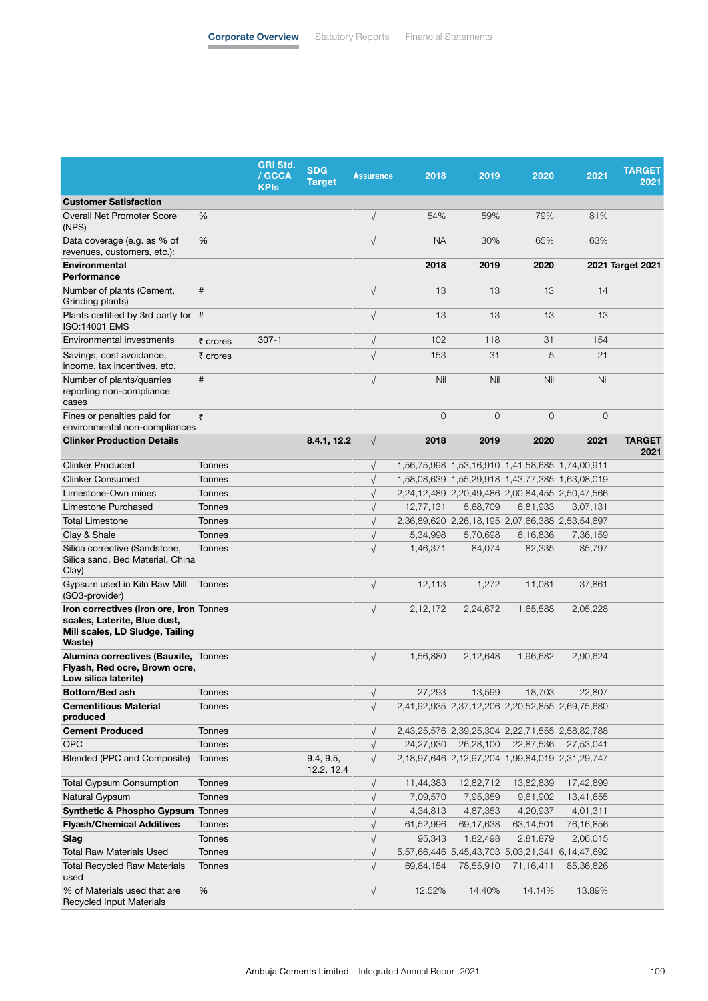|                                                                                                                      |               | <b>GRI Std.</b><br>/ GCCA<br><b>KPIs</b> | <b>SDG</b><br><b>Target</b> | <b>Assurance</b>     | 2018        | 2019                                            | 2020                | 2021      | <b>TARGET</b><br>2021 |
|----------------------------------------------------------------------------------------------------------------------|---------------|------------------------------------------|-----------------------------|----------------------|-------------|-------------------------------------------------|---------------------|-----------|-----------------------|
| <b>Customer Satisfaction</b>                                                                                         |               |                                          |                             |                      |             |                                                 |                     |           |                       |
| <b>Overall Net Promoter Score</b><br>(NPS)                                                                           | %             |                                          |                             | $\sqrt{}$            | 54%         | 59%                                             | 79%                 | 81%       |                       |
| Data coverage (e.g. as % of<br>revenues, customers, etc.):                                                           | %             |                                          |                             | $\sqrt{}$            | <b>NA</b>   | 30%                                             | 65%                 | 63%       |                       |
| <b>Environmental</b><br>Performance                                                                                  |               |                                          |                             |                      | 2018        | 2019                                            | 2020                |           | 2021 Target 2021      |
| Number of plants (Cement,<br>Grinding plants)                                                                        | #             |                                          |                             | $\sqrt{}$            | 13          | 13                                              | 13                  | 14        |                       |
| Plants certified by 3rd party for #<br><b>ISO:14001 EMS</b>                                                          |               |                                          |                             | $\sqrt{}$            | 13          | 13                                              | 13                  | 13        |                       |
| Environmental investments                                                                                            | ₹ crores      | $307 - 1$                                |                             | $\sqrt{}$            | 102         | 118                                             | 31                  | 154       |                       |
| Savings, cost avoidance,<br>income, tax incentives, etc.                                                             | ₹ crores      |                                          |                             | $\sqrt{}$            | 153         | 31                                              | 5                   | 21        |                       |
| Number of plants/quarries<br>reporting non-compliance<br>cases                                                       | #             |                                          |                             | $\sqrt{}$            | Nil         | Nil                                             | Nil                 | Nil       |                       |
| Fines or penalties paid for<br>environmental non-compliances                                                         | ₹             |                                          |                             |                      | $\mathbf 0$ | $\overline{O}$                                  | $\overline{0}$      | 0         |                       |
| <b>Clinker Production Details</b>                                                                                    |               |                                          | 8.4.1, 12.2                 | $\sqrt{ }$           | 2018        | 2019                                            | 2020                | 2021      | <b>TARGET</b><br>2021 |
| <b>Clinker Produced</b>                                                                                              | Tonnes        |                                          |                             | $\sqrt{ }$           |             | 1,56,75,998 1,53,16,910 1,41,58,685 1,74,00,911 |                     |           |                       |
| <b>Clinker Consumed</b>                                                                                              | Tonnes        |                                          |                             | $\sqrt{}$            |             | 1,58,08,639 1,55,29,918 1,43,77,385 1,63,08,019 |                     |           |                       |
| Limestone-Own mines                                                                                                  | Tonnes        |                                          |                             | $\sqrt{ }$           |             | 2,24,12,489 2,20,49,486 2,00,84,455 2,50,47,566 |                     |           |                       |
| Limestone Purchased                                                                                                  | Tonnes        |                                          |                             | $\sqrt{}$            | 12,77,131   | 5,68,709                                        | 6,81,933            | 3,07,131  |                       |
| <b>Total Limestone</b>                                                                                               | <b>Tonnes</b> |                                          |                             | $\sqrt{}$            |             | 2,36,89,620 2,26,18,195 2,07,66,388 2,53,54,697 |                     |           |                       |
| Clay & Shale                                                                                                         | <b>Tonnes</b> |                                          |                             | $\sqrt{}$            | 5,34,998    | 5,70,698                                        | 6,16,836            | 7,36,159  |                       |
| Silica corrective (Sandstone,<br>Silica sand, Bed Material, China<br>Clay)                                           | Tonnes        |                                          |                             | $\sqrt{}$            | 1,46,371    | 84,074                                          | 82,335              | 85,797    |                       |
| Gypsum used in Kiln Raw Mill<br>(SO3-provider)                                                                       | <b>Tonnes</b> |                                          |                             | $\sqrt{}$            | 12,113      | 1,272                                           | 11,081              | 37,861    |                       |
| Iron correctives (Iron ore, Iron Tonnes<br>scales, Laterite, Blue dust,<br>Mill scales, LD Sludge, Tailing<br>Waste) |               |                                          |                             | $\sqrt{}$            | 2,12,172    | 2,24,672                                        | 1,65,588            | 2,05,228  |                       |
| Alumina correctives (Bauxite, Tonnes<br>Flyash, Red ocre, Brown ocre,<br>Low silica laterite)                        |               |                                          |                             | $\sqrt{ }$           | 1,56,880    | 2,12,648                                        | 1,96,682            | 2,90,624  |                       |
| <b>Bottom/Bed ash</b>                                                                                                | Tonnes        |                                          |                             | $\sqrt{\phantom{a}}$ | 27,293      | 13,599                                          | 18,703              | 22,807    |                       |
| <b>Cementitious Material</b><br>produced                                                                             | Tonnes        |                                          |                             | $\sqrt{}$            |             | 2,41,92,935 2,37,12,206 2,20,52,855 2,69,75,680 |                     |           |                       |
| <b>Cement Produced</b>                                                                                               | Tonnes        |                                          |                             | $\sqrt{}$            |             | 2,43,25,576 2,39,25,304 2,22,71,555 2,58,82,788 |                     |           |                       |
| <b>OPC</b>                                                                                                           | Tonnes        |                                          |                             | $\sqrt{}$            | 24,27,930   |                                                 | 26,28,100 22,87,536 | 27,53,041 |                       |
| Blended (PPC and Composite)                                                                                          | Tonnes        |                                          | 9.4, 9.5,<br>12.2, 12.4     | $\sqrt{}$            |             | 2,18,97,646 2,12,97,204 1,99,84,019 2,31,29,747 |                     |           |                       |
| <b>Total Gypsum Consumption</b>                                                                                      | Tonnes        |                                          |                             | $\sqrt{}$            | 11,44,383   | 12,82,712                                       | 13,82,839           | 17,42,899 |                       |
| Natural Gypsum                                                                                                       | Tonnes        |                                          |                             | $\sqrt{}$            | 7,09,570    | 7,95,359                                        | 9,61,902            | 13,41,655 |                       |
| Synthetic & Phospho Gypsum Tonnes                                                                                    |               |                                          |                             | $\sqrt{}$            | 4,34,813    | 4,87,353                                        | 4,20,937            | 4,01,311  |                       |
| <b>Flyash/Chemical Additives</b>                                                                                     | Tonnes        |                                          |                             | $\sqrt{}$            | 61,52,996   | 69,17,638                                       | 63,14,501           | 76,16,856 |                       |
| Slag                                                                                                                 | Tonnes        |                                          |                             | $\sqrt{}$            | 95,343      | 1,82,498                                        | 2,81,879            | 2,06,015  |                       |
| <b>Total Raw Materials Used</b>                                                                                      | Tonnes        |                                          |                             | $\sqrt{}$            |             | 5,57,66,446 5,45,43,703 5,03,21,341 6,14,47,692 |                     |           |                       |
| Total Recycled Raw Materials<br>used                                                                                 | Tonnes        |                                          |                             | $\sqrt{}$            | 69,84,154   | 78,55,910                                       | 71,16,411           | 85,36,826 |                       |
| % of Materials used that are<br><b>Recycled Input Materials</b>                                                      | $\%$          |                                          |                             | $\sqrt{}$            | 12.52%      | 14.40%                                          | 14.14%              | 13.89%    |                       |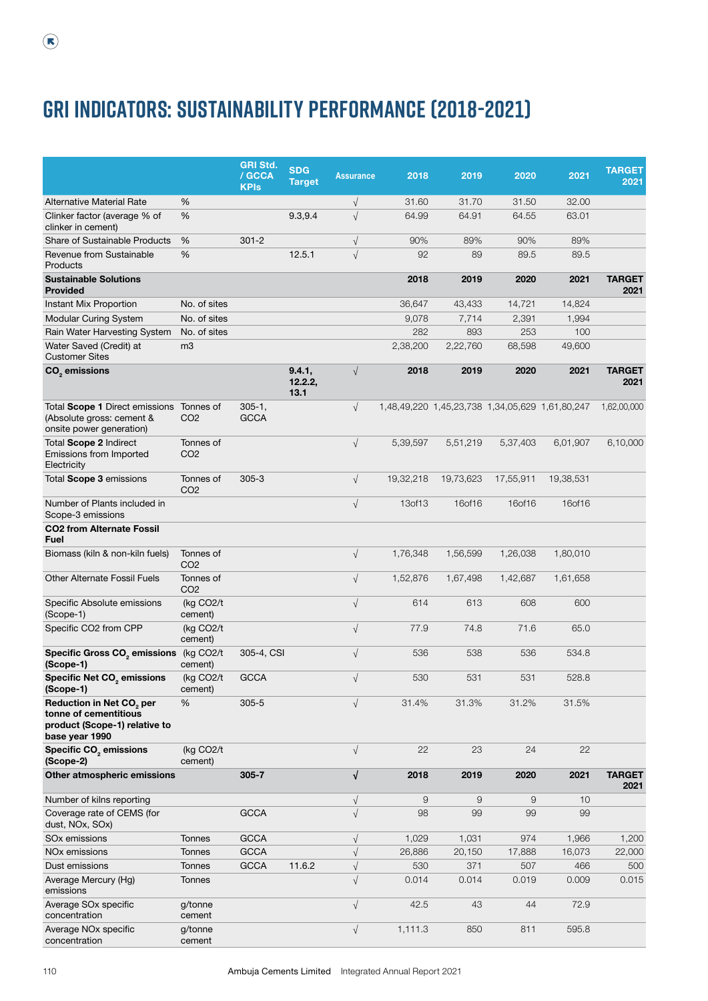## **GRI indicators: Sustainability Performance (2018-2021)**

|                                                                                                                        |                              | <b>GRI Std.</b><br>/ GCCA<br><b>KPIs</b> | <b>SDG</b><br><b>Target</b> | <b>Assurance</b> | 2018           | 2019      | 2020                                            | 2021      | <b>TARGET</b><br>2021 |
|------------------------------------------------------------------------------------------------------------------------|------------------------------|------------------------------------------|-----------------------------|------------------|----------------|-----------|-------------------------------------------------|-----------|-----------------------|
| Alternative Material Rate                                                                                              | %                            |                                          |                             | $\sqrt{ }$       | 31.60          | 31.70     | 31.50                                           | 32.00     |                       |
| Clinker factor (average % of<br>clinker in cement)                                                                     | %                            |                                          | 9.3,9.4                     | $\sqrt{ }$       | 64.99          | 64.91     | 64.55                                           | 63.01     |                       |
| <b>Share of Sustainable Products</b>                                                                                   | %                            | $301 - 2$                                |                             | $\sqrt{ }$       | 90%            | 89%       | 90%                                             | 89%       |                       |
| Revenue from Sustainable<br>Products                                                                                   | %                            |                                          | 12.5.1                      | $\sqrt{}$        | 92             | 89        | 89.5                                            | 89.5      |                       |
| <b>Sustainable Solutions</b><br><b>Provided</b>                                                                        |                              |                                          |                             |                  | 2018           | 2019      | 2020                                            | 2021      | <b>TARGET</b><br>2021 |
| Instant Mix Proportion                                                                                                 | No. of sites                 |                                          |                             |                  | 36,647         | 43,433    | 14,721                                          | 14,824    |                       |
| <b>Modular Curing System</b>                                                                                           | No. of sites                 |                                          |                             |                  | 9,078          | 7,714     | 2,391                                           | 1,994     |                       |
| Rain Water Harvesting System                                                                                           | No. of sites                 |                                          |                             |                  | 282            | 893       | 253                                             | 100       |                       |
| Water Saved (Credit) at<br><b>Customer Sites</b>                                                                       | m <sub>3</sub>               |                                          |                             |                  | 2,38,200       | 2,22,760  | 68,598                                          | 49,600    |                       |
| CO <sub>2</sub> emissions                                                                                              |                              |                                          | 9.4.1,<br>12.2.2,<br>13.1   | $\sqrt{ }$       | 2018           | 2019      | 2020                                            | 2021      | <b>TARGET</b><br>2021 |
| Total Scope 1 Direct emissions<br>(Absolute gross: cement &<br>onsite power generation)                                | Tonnes of<br>CO <sub>2</sub> | $305 - 1$ ,<br><b>GCCA</b>               |                             | $\sqrt{ }$       |                |           | 1,48,49,220 1,45,23,738 1,34,05,629 1,61,80,247 |           | 1,62,00,000           |
| Total Scope 2 Indirect<br>Emissions from Imported<br>Electricity                                                       | Tonnes of<br>CO <sub>2</sub> |                                          |                             | $\sqrt{ }$       | 5,39,597       | 5,51,219  | 5,37,403                                        | 6,01,907  | 6,10,000              |
| Total Scope 3 emissions                                                                                                | Tonnes of<br>CO <sub>2</sub> | $305 - 3$                                |                             | $\sqrt{ }$       | 19,32,218      | 19,73,623 | 17,55,911                                       | 19,38,531 |                       |
| Number of Plants included in<br>Scope-3 emissions                                                                      |                              |                                          |                             | $\sqrt{ }$       | 13of13         | 16of16    | 16of16                                          | 16of16    |                       |
| <b>CO2 from Alternate Fossil</b><br><b>Fuel</b>                                                                        |                              |                                          |                             |                  |                |           |                                                 |           |                       |
| Biomass (kiln & non-kiln fuels)                                                                                        | Tonnes of<br>CO <sub>2</sub> |                                          |                             | $\sqrt{ }$       | 1,76,348       | 1,56,599  | 1,26,038                                        | 1,80,010  |                       |
| <b>Other Alternate Fossil Fuels</b>                                                                                    | Tonnes of<br>CO <sub>2</sub> |                                          |                             | $\sqrt{ }$       | 1,52,876       | 1,67,498  | 1,42,687                                        | 1,61,658  |                       |
| Specific Absolute emissions<br>(Scope-1)                                                                               | (kg CO2/t<br>cement)         |                                          |                             | $\sqrt{ }$       | 614            | 613       | 608                                             | 600       |                       |
| Specific CO2 from CPP                                                                                                  | (kg CO2/t)<br>cement)        |                                          |                             | $\sqrt{}$        | 77.9           | 74.8      | 71.6                                            | 65.0      |                       |
| Specific Gross CO <sub>2</sub> emissions (kg CO2/t<br>(Scope-1)                                                        | cement)                      | 305-4, CSI                               |                             | $\sqrt{ }$       | 536            | 538       | 536                                             | 534.8     |                       |
| Specific Net CO <sub>2</sub> emissions<br>(Scope-1)                                                                    | (kg CO2/t<br>cement)         | <b>GCCA</b>                              |                             | $\sqrt{}$        | 530            | 531       | 531                                             | 528.8     |                       |
| <b>Reduction in Net CO<sub>2</sub> per</b><br>tonne of cementitious<br>product (Scope-1) relative to<br>base year 1990 | %                            | $305 - 5$                                |                             | $\sqrt{}$        | 31.4%          | 31.3%     | 31.2%                                           | 31.5%     |                       |
| Specific CO <sub>2</sub> emissions<br>(Scope-2)                                                                        | (kg CO2/t<br>cement)         |                                          |                             | $\sqrt{}$        | 22             | 23        | 24                                              | 22        |                       |
| Other atmospheric emissions                                                                                            |                              | $305 - 7$                                |                             | $\sqrt{ }$       | 2018           | 2019      | 2020                                            | 2021      | <b>TARGET</b><br>2021 |
| Number of kilns reporting                                                                                              |                              |                                          |                             | $\sqrt{}$        | $\overline{9}$ | 9         | 9                                               | 10        |                       |
| Coverage rate of CEMS (for<br>dust, NOx, SOx)                                                                          |                              | <b>GCCA</b>                              |                             | $\sqrt{ }$       | 98             | 99        | 99                                              | 99        |                       |
| SO <sub>x</sub> emissions                                                                                              | Tonnes                       | GCCA                                     |                             | $\sqrt{ }$       | 1,029          | 1,031     | 974                                             | 1,966     | 1,200                 |
| NO <sub>x</sub> emissions                                                                                              | Tonnes                       | GCCA                                     |                             | $\sqrt{}$        | 26,886         | 20,150    | 17,888                                          | 16,073    | 22,000                |
| Dust emissions                                                                                                         | <b>Tonnes</b>                | <b>GCCA</b>                              | 11.6.2                      | $\sqrt{ }$       | 530            | 371       | 507                                             | 466       | 500                   |
| Average Mercury (Hg)<br>emissions                                                                                      | <b>Tonnes</b>                |                                          |                             | $\sqrt{ }$       | 0.014          | 0.014     | 0.019                                           | 0.009     | 0.015                 |
| Average SO <sub>x</sub> specific<br>concentration                                                                      | g/tonne<br>cement            |                                          |                             | $\sqrt{}$        | 42.5           | 43        | 44                                              | 72.9      |                       |
| Average NO <sub>x</sub> specific<br>concentration                                                                      | g/tonne<br>cement            |                                          |                             | $\sqrt{}$        | 1,111.3        | 850       | 811                                             | 595.8     |                       |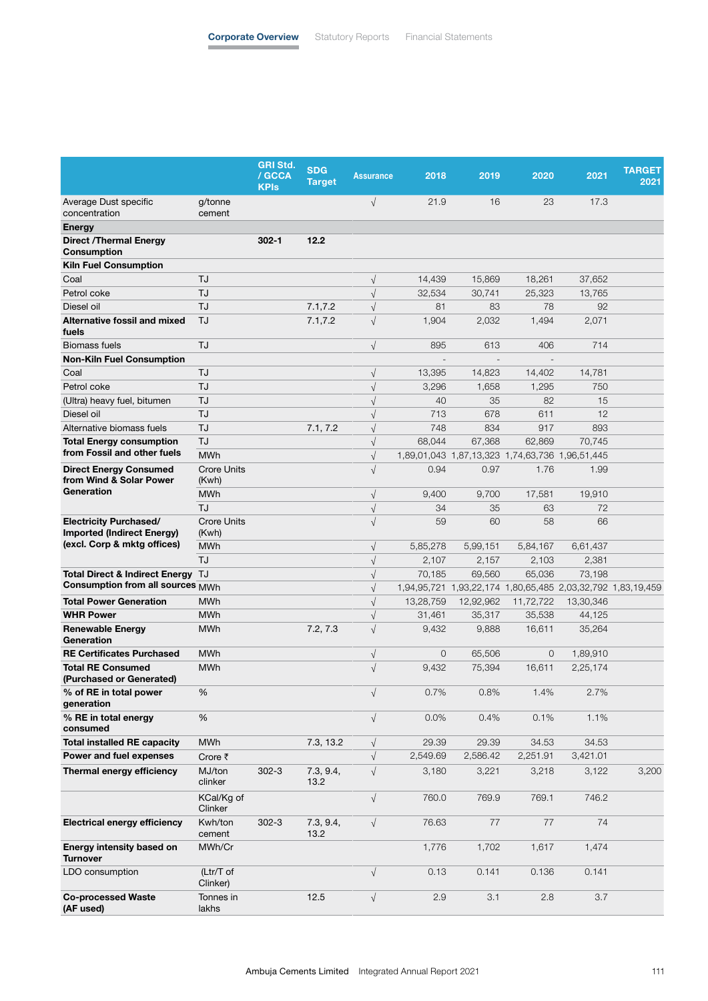|                                                                                                   |                             | <b>GRI Std.</b><br>/ GCCA<br><b>KPIs</b> | <b>SDG</b><br><b>Target</b> | <b>Assurance</b> | 2018         | 2019                                                        | 2020      | 2021      | <b>TARGET</b><br>2021 |
|---------------------------------------------------------------------------------------------------|-----------------------------|------------------------------------------|-----------------------------|------------------|--------------|-------------------------------------------------------------|-----------|-----------|-----------------------|
| Average Dust specific<br>concentration                                                            | g/tonne<br>cement           |                                          |                             | $\sqrt{ }$       | 21.9         | 16                                                          | 23        | 17.3      |                       |
| <b>Energy</b>                                                                                     |                             |                                          |                             |                  |              |                                                             |           |           |                       |
| <b>Direct /Thermal Energy</b><br><b>Consumption</b>                                               |                             | $302 - 1$                                | 12.2                        |                  |              |                                                             |           |           |                       |
| <b>Kiln Fuel Consumption</b>                                                                      |                             |                                          |                             |                  |              |                                                             |           |           |                       |
| Coal                                                                                              | TJ                          |                                          |                             | $\sqrt{ }$       | 14,439       | 15,869                                                      | 18,261    | 37,652    |                       |
| Petrol coke                                                                                       | TJ                          |                                          |                             | $\sqrt{}$        | 32,534       | 30,741                                                      | 25,323    | 13,765    |                       |
| Diesel oil                                                                                        | TJ                          |                                          | 7.1, 7.2                    | $\sqrt{ }$       | 81           | 83                                                          | 78        | 92        |                       |
| <b>Alternative fossil and mixed</b><br>fuels                                                      | TJ                          |                                          | 7.1, 7.2                    | $\sqrt{ }$       | 1,904        | 2,032                                                       | 1,494     | 2,071     |                       |
| <b>Biomass fuels</b>                                                                              | TJ                          |                                          |                             | $\sqrt{ }$       | 895          | 613                                                         | 406       | 714       |                       |
| <b>Non-Kiln Fuel Consumption</b>                                                                  |                             |                                          |                             |                  |              |                                                             |           |           |                       |
| Coal                                                                                              | TJ                          |                                          |                             | $\sqrt{}$        | 13,395       | 14,823                                                      | 14,402    | 14,781    |                       |
| Petrol coke                                                                                       | TJ                          |                                          |                             | $\sqrt{ }$       | 3,296        | 1,658                                                       | 1,295     | 750       |                       |
| (Ultra) heavy fuel, bitumen                                                                       | TJ                          |                                          |                             | $\sqrt{ }$       | 40           | 35                                                          | 82        | 15        |                       |
| Diesel oil                                                                                        | TJ                          |                                          |                             | $\sqrt{}$        | 713          | 678                                                         | 611       | 12        |                       |
| Alternative biomass fuels                                                                         | TJ                          |                                          | 7.1, 7.2                    | $\sqrt{}$        | 748          | 834                                                         | 917       | 893       |                       |
| <b>Total Energy consumption</b>                                                                   | TJ                          |                                          |                             | $\sqrt{}$        | 68.044       | 67,368                                                      | 62,869    | 70,745    |                       |
| from Fossil and other fuels                                                                       | <b>MWh</b>                  |                                          |                             | $\sqrt{}$        |              | 1,89,01,043 1,87,13,323 1,74,63,736 1,96,51,445             |           |           |                       |
| <b>Direct Energy Consumed</b><br>from Wind & Solar Power                                          | <b>Crore Units</b><br>(Kwh) |                                          |                             | $\sqrt{ }$       | 0.94         | 0.97                                                        | 1.76      | 1.99      |                       |
| Generation                                                                                        | <b>MWh</b>                  |                                          |                             | $\sqrt{ }$       | 9,400        | 9,700                                                       | 17.581    | 19,910    |                       |
|                                                                                                   | TJ                          |                                          |                             | $\sqrt{ }$       | 34           | 35                                                          | 63        | 72        |                       |
| <b>Electricity Purchased/</b><br><b>Imported (Indirect Energy)</b><br>(excl. Corp & mktg offices) | <b>Crore Units</b><br>(Kwh) |                                          |                             | $\sqrt{ }$       | 59           | 60                                                          | 58        | 66        |                       |
|                                                                                                   | <b>MWh</b>                  |                                          |                             | $\sqrt{ }$       | 5,85,278     | 5,99,151                                                    | 5,84,167  | 6,61,437  |                       |
|                                                                                                   | TJ                          |                                          |                             | $\sqrt{}$        | 2,107        | 2,157                                                       | 2,103     | 2,381     |                       |
| <b>Total Direct &amp; Indirect Energy</b>                                                         | TJ                          |                                          |                             | $\sqrt{ }$       | 70,185       | 69,560                                                      | 65,036    | 73,198    |                       |
| Consumption from all sources MWh                                                                  |                             |                                          |                             | $\sqrt{ }$       |              | 1,94,95,721 1,93,22,174 1,80,65,485 2,03,32,792 1,83,19,459 |           |           |                       |
| <b>Total Power Generation</b>                                                                     | <b>MWh</b>                  |                                          |                             | $\sqrt{ }$       | 13,28,759    | 12,92,962                                                   | 11,72,722 | 13,30,346 |                       |
| <b>WHR Power</b>                                                                                  | <b>MWh</b>                  |                                          |                             | $\sqrt{ }$       | 31,461       | 35,317                                                      | 35,538    | 44,125    |                       |
| <b>Renewable Energy</b><br>Generation                                                             | MWh                         |                                          | 7.2, 7.3                    | $\sqrt{ }$       | 9,432        | 9,888                                                       | 16,611    | 35,264    |                       |
| <b>RE Certificates Purchased</b>                                                                  | <b>MWh</b>                  |                                          |                             | $\sqrt{ }$       | $\mathbf{O}$ | 65,506                                                      | 0         | 1,89,910  |                       |
| <b>Total RE Consumed</b><br>(Purchased or Generated)                                              | <b>MWh</b>                  |                                          |                             | $\sqrt{ }$       | 9,432        | 75,394                                                      | 16,611    | 2,25,174  |                       |
| % of RE in total power<br>generation                                                              | $\%$                        |                                          |                             | $\sqrt{ }$       | 0.7%         | 0.8%                                                        | 1.4%      | 2.7%      |                       |
| % RE in total energy<br>consumed                                                                  | %                           |                                          |                             | $\sqrt{ }$       | 0.0%         | 0.4%                                                        | 0.1%      | 1.1%      |                       |
| <b>Total installed RE capacity</b>                                                                | MWh                         |                                          | 7.3, 13.2                   | $\sqrt{}$        | 29.39        | 29.39                                                       | 34.53     | 34.53     |                       |
| Power and fuel expenses                                                                           | Crore ₹                     |                                          |                             | $\sqrt{ }$       | 2,549.69     | 2,586.42                                                    | 2,251.91  | 3,421.01  |                       |
| Thermal energy efficiency                                                                         | MJ/ton<br>clinker           | $302 - 3$                                | 7.3, 9.4,<br>13.2           | $\sqrt{ }$       | 3,180        | 3,221                                                       | 3,218     | 3,122     | 3,200                 |
|                                                                                                   | KCal/Kg of<br>Clinker       |                                          |                             | $\sqrt{}$        | 760.0        | 769.9                                                       | 769.1     | 746.2     |                       |
| <b>Electrical energy efficiency</b>                                                               | Kwh/ton<br>cement           | $302 - 3$                                | 7.3, 9.4,<br>13.2           | $\sqrt{ }$       | 76.63        | 77                                                          | 77        | 74        |                       |
| Energy intensity based on<br><b>Turnover</b>                                                      | MWh/Cr                      |                                          |                             |                  | 1,776        | 1,702                                                       | 1,617     | 1,474     |                       |
| LDO consumption                                                                                   | (Ltr/T of<br>Clinker)       |                                          |                             | $\sqrt{ }$       | 0.13         | 0.141                                                       | 0.136     | 0.141     |                       |
| <b>Co-processed Waste</b><br>(AF used)                                                            | Tonnes in<br>lakhs          |                                          | 12.5                        | $\sqrt{}$        | 2.9          | 3.1                                                         | 2.8       | 3.7       |                       |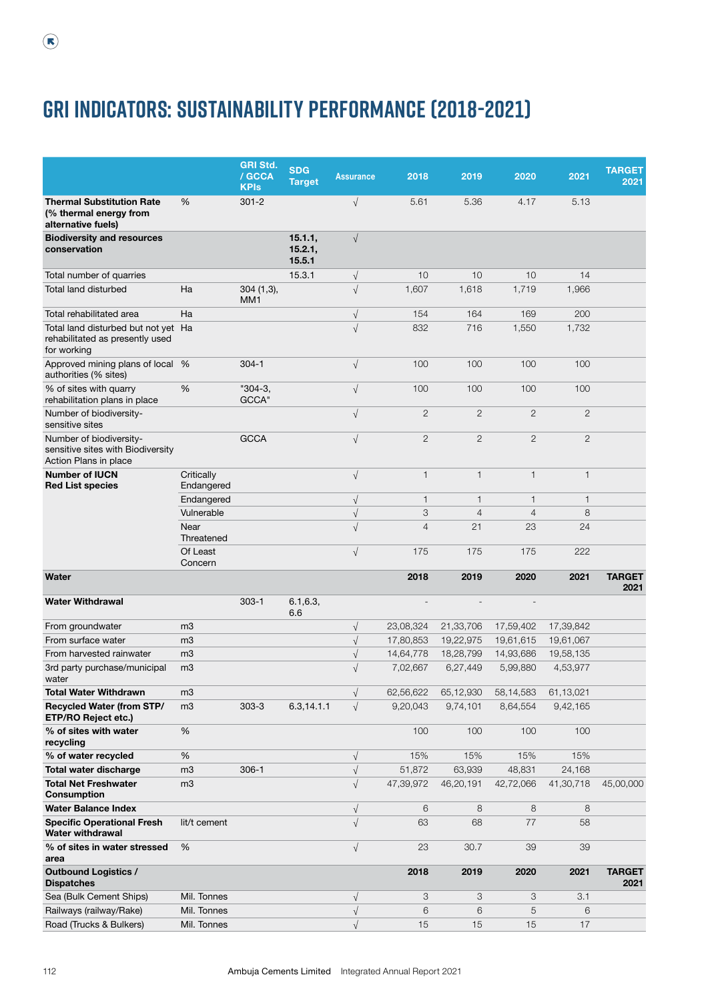## **GRI indicators: Sustainability Performance (2018-2021)**

|                                                                                       |                          | <b>GRI Std.</b><br>/ GCCA<br><b>KPIs</b> | <b>SDG</b><br><b>Target</b>  | <b>Assurance</b> | 2018           | 2019           | 2020           | 2021           | <b>TARGET</b><br>2021 |
|---------------------------------------------------------------------------------------|--------------------------|------------------------------------------|------------------------------|------------------|----------------|----------------|----------------|----------------|-----------------------|
| <b>Thermal Substitution Rate</b><br>(% thermal energy from<br>alternative fuels)      | %                        | $301 - 2$                                |                              | $\sqrt{}$        | 5.61           | 5.36           | 4.17           | 5.13           |                       |
| <b>Biodiversity and resources</b><br>conservation                                     |                          |                                          | 15.1.1,<br>15.2.1,<br>15.5.1 | $\sqrt{ }$       |                |                |                |                |                       |
| Total number of quarries                                                              |                          |                                          | 15.3.1                       | $\sqrt{}$        | 10             | 10             | 10             | 14             |                       |
| <b>Total land disturbed</b>                                                           | Ha                       | $304(1,3)$ ,<br>MM <sub>1</sub>          |                              | $\sqrt{ }$       | 1,607          | 1,618          | 1,719          | 1,966          |                       |
| Total rehabilitated area                                                              | Ha                       |                                          |                              | $\sqrt{ }$       | 154            | 164            | 169            | 200            |                       |
| Total land disturbed but not yet Ha<br>rehabilitated as presently used<br>for working |                          |                                          |                              | $\sqrt{}$        | 832            | 716            | 1,550          | 1,732          |                       |
| Approved mining plans of local %<br>authorities (% sites)                             |                          | $304 - 1$                                |                              | $\sqrt{}$        | 100            | 100            | 100            | 100            |                       |
| % of sites with quarry<br>rehabilitation plans in place                               | %                        | $"304-3,$<br>GCCA"                       |                              | $\sqrt{ }$       | 100            | 100            | 100            | 100            |                       |
| Number of biodiversity-<br>sensitive sites                                            |                          |                                          |                              | $\sqrt{ }$       | $\mathbf{2}$   | $\mathbf{2}$   | $\overline{2}$ | $\mathbf{2}$   |                       |
| Number of biodiversity-<br>sensitive sites with Biodiversity<br>Action Plans in place |                          | <b>GCCA</b>                              |                              | $\sqrt{ }$       | $\mathbf{2}$   | $\overline{2}$ | $\overline{2}$ | $\overline{2}$ |                       |
| <b>Number of IUCN</b><br><b>Red List species</b>                                      | Critically<br>Endangered |                                          |                              | $\sqrt{ }$       | $\mathbf{1}$   | $\mathbf{1}$   | $\mathbf{1}$   | $\mathbf{1}$   |                       |
|                                                                                       | Endangered               |                                          |                              | $\sqrt{}$        | $\mathbf{1}$   | 1              | $\mathbf{1}$   | $\mathbf{1}$   |                       |
|                                                                                       | Vulnerable               |                                          |                              | $\sqrt{ }$       | 3              | $\overline{4}$ | $\overline{4}$ | 8              |                       |
|                                                                                       | Near<br>Threatened       |                                          |                              | $\sqrt{ }$       | $\overline{4}$ | 21             | 23             | 24             |                       |
|                                                                                       | Of Least<br>Concern      |                                          |                              | $\sqrt{}$        | 175            | 175            | 175            | 222            |                       |
| Water                                                                                 |                          |                                          |                              |                  | 2018           | 2019           | 2020           | 2021           | <b>TARGET</b><br>2021 |
| <b>Water Withdrawal</b>                                                               |                          | $303 - 1$                                | 6.1, 6.3,<br>6.6             |                  | $\overline{a}$ |                |                |                |                       |
| From groundwater                                                                      | m <sub>3</sub>           |                                          |                              | $\sqrt{}$        | 23,08,324      | 21,33,706      | 17,59,402      | 17,39,842      |                       |
| From surface water                                                                    | m <sub>3</sub>           |                                          |                              | $\sqrt{}$        | 17,80,853      | 19,22,975      | 19,61,615      | 19,61,067      |                       |
| From harvested rainwater                                                              | m <sub>3</sub>           |                                          |                              | $\sqrt{}$        | 14,64,778      | 18,28,799      | 14,93,686      | 19,58,135      |                       |
| 3rd party purchase/municipal<br>water                                                 | m <sub>3</sub>           |                                          |                              | $\sqrt{}$        | 7,02,667       | 6,27,449       | 5,99,880       | 4,53,977       |                       |
| <b>Total Water Withdrawn</b>                                                          | m <sub>3</sub>           |                                          |                              | $\sqrt{}$        | 62,56,622      | 65,12,930      | 58,14,583      | 61,13,021      |                       |
| <b>Recycled Water (from STP/</b><br>ETP/RO Reject etc.)                               | m <sub>3</sub>           | $303 - 3$                                | 6.3,14.1.1                   | $\sqrt{}$        | 9,20,043       | 9,74,101       | 8,64,554       | 9,42,165       |                       |
| % of sites with water<br>recycling                                                    | %                        |                                          |                              |                  | 100            | 100            | 100            | 100            |                       |
| % of water recycled                                                                   | $\%$                     |                                          |                              | $\sqrt{ }$       | 15%            | 15%            | 15%            | 15%            |                       |
| <b>Total water discharge</b>                                                          | m <sub>3</sub>           | $306-1$                                  |                              | $\sqrt{ }$       | 51,872         | 63,939         | 48,831         | 24,168         |                       |
| <b>Total Net Freshwater</b><br><b>Consumption</b>                                     | m3                       |                                          |                              | $\sqrt{ }$       | 47,39,972      | 46,20,191      | 42,72,066      | 41,30,718      | 45,00,000             |
| <b>Water Balance Index</b>                                                            |                          |                                          |                              | $\sqrt{ }$       | 6              | 8              | 8              | 8              |                       |
| <b>Specific Operational Fresh</b><br><b>Water withdrawal</b>                          | lit/t cement             |                                          |                              | $\sqrt{ }$       | 63             | 68             | 77             | 58             |                       |
| % of sites in water stressed<br>area                                                  | %                        |                                          |                              | $\sqrt{ }$       | 23             | 30.7           | 39             | 39             |                       |
| <b>Outbound Logistics /</b><br><b>Dispatches</b>                                      |                          |                                          |                              |                  | 2018           | 2019           | 2020           | 2021           | <b>TARGET</b><br>2021 |
| Sea (Bulk Cement Ships)                                                               | Mil. Tonnes              |                                          |                              | $\sqrt{}$        | 3              | 3              | 3              | 3.1            |                       |
| Railways (railway/Rake)                                                               | Mil. Tonnes              |                                          |                              | $\sqrt{ }$       | 6              | 6              | 5              | 6              |                       |
| Road (Trucks & Bulkers)                                                               | Mil. Tonnes              |                                          |                              | $\sqrt{ }$       | 15             | 15             | 15             | 17             |                       |

 $\bigcirc$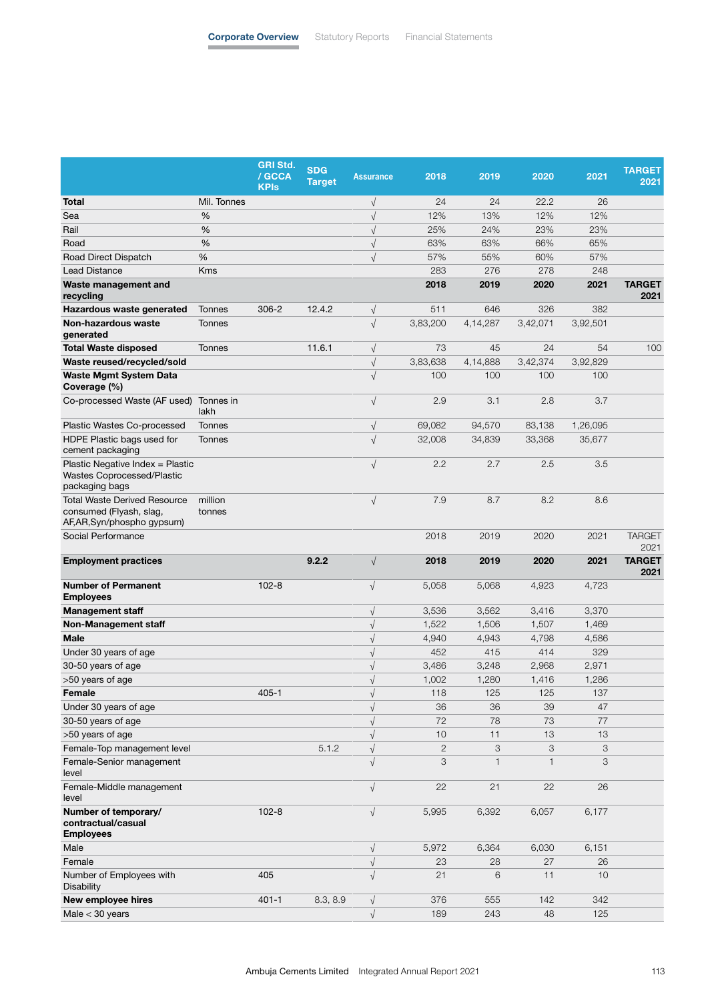|                                                                                             |                   | <b>GRI Std.</b><br>/ GCCA<br><b>KPIs</b> | <b>SDG</b><br><b>Target</b> | <b>Assurance</b>       | 2018              | 2019              | 2020              | 2021     | <b>TARGET</b><br>2021 |
|---------------------------------------------------------------------------------------------|-------------------|------------------------------------------|-----------------------------|------------------------|-------------------|-------------------|-------------------|----------|-----------------------|
| Total                                                                                       | Mil. Tonnes       |                                          |                             | $\sqrt{}$              | 24                | 24                | 22.2              | 26       |                       |
| Sea                                                                                         | %                 |                                          |                             | $\sqrt{}$              | 12%               | 13%               | 12%               | 12%      |                       |
| Rail                                                                                        | %                 |                                          |                             | $\sqrt{}$              | 25%               | 24%               | 23%               | 23%      |                       |
| Road                                                                                        | %                 |                                          |                             | $\sqrt{}$              | 63%               | 63%               | 66%               | 65%      |                       |
| Road Direct Dispatch                                                                        | %                 |                                          |                             | $\sqrt{}$              | 57%               | 55%               | 60%               | 57%      |                       |
| <b>Lead Distance</b>                                                                        | <b>Kms</b>        |                                          |                             |                        | 283               | 276               | 278               | 248      |                       |
| Waste management and<br>recycling                                                           |                   |                                          |                             |                        | 2018              | 2019              | 2020              | 2021     | <b>TARGET</b><br>2021 |
| Hazardous waste generated                                                                   | Tonnes            | $306 - 2$                                | 12.4.2                      | $\sqrt{}$              | 511               | 646               | 326               | 382      |                       |
| Non-hazardous waste<br>generated                                                            | <b>Tonnes</b>     |                                          |                             | $\sqrt{}$              | 3,83,200          | 4,14,287          | 3,42,071          | 3,92,501 |                       |
| <b>Total Waste disposed</b>                                                                 | Tonnes            |                                          | 11.6.1                      | $\sqrt{}$              | 73                | 45                | 24                | 54       | 100                   |
| Waste reused/recycled/sold                                                                  |                   |                                          |                             | $\sqrt{\phantom{a}}$   | 3,83,638          | 4,14,888          | 3,42,374          | 3,92,829 |                       |
| <b>Waste Mgmt System Data</b><br>Coverage (%)                                               |                   |                                          |                             | $\sqrt{}$              | 100               | 100               | 100               | 100      |                       |
| Co-processed Waste (AF used)                                                                | Tonnes in<br>lakh |                                          |                             | $\sqrt{ }$             | 2.9               | 3.1               | 2.8               | 3.7      |                       |
| Plastic Wastes Co-processed                                                                 | Tonnes            |                                          |                             | $\sqrt{}$              | 69,082            | 94,570            | 83,138            | 1,26,095 |                       |
| HDPE Plastic bags used for<br>cement packaging                                              | Tonnes            |                                          |                             | $\sqrt{ }$             | 32,008            | 34,839            | 33,368            | 35,677   |                       |
| Plastic Negative Index = Plastic<br>Wastes Coprocessed/Plastic<br>packaging bags            |                   |                                          |                             | $\sqrt{}$              | 2.2               | 2.7               | 2.5               | 3.5      |                       |
| <b>Total Waste Derived Resource</b><br>consumed (Flyash, slag,<br>AF,AR,Syn/phospho gypsum) | million<br>tonnes |                                          |                             | $\sqrt{}$              | 7.9               | 8.7               | 8.2               | 8.6      |                       |
| Social Performance                                                                          |                   |                                          |                             |                        | 2018              | 2019              | 2020              | 2021     | <b>TARGET</b><br>2021 |
| <b>Employment practices</b>                                                                 |                   |                                          | 9.2.2                       | $\sqrt{}$              | 2018              | 2019              | 2020              | 2021     | <b>TARGET</b><br>2021 |
| <b>Number of Permanent</b><br><b>Employees</b>                                              |                   | $102 - 8$                                |                             | $\sqrt{}$              | 5,058             | 5,068             | 4,923             | 4,723    |                       |
| <b>Management staff</b>                                                                     |                   |                                          |                             | $\sqrt{}$              | 3,536             | 3,562             | 3,416             | 3,370    |                       |
| Non-Management staff                                                                        |                   |                                          |                             | $\sqrt{}$              | 1,522             | 1,506             | 1,507             | 1,469    |                       |
| <b>Male</b>                                                                                 |                   |                                          |                             | $\sqrt{}$              | 4,940             | 4,943             | 4,798             | 4,586    |                       |
| Under 30 years of age                                                                       |                   |                                          |                             | $\sqrt{ }$             | 452               | 415               | 414               | 329      |                       |
| 30-50 years of age                                                                          |                   |                                          |                             | $\sqrt{}$              | 3,486             | 3,248             | 2,968             | 2,971    |                       |
| >50 years of age                                                                            |                   |                                          |                             | $\sqrt{}$              | 1,002             | 1,280             | 1,416             | 1,286    |                       |
| Female                                                                                      |                   | $405 - 1$                                |                             | $\sqrt{}$              | 118               | 125               | 125               | 137      |                       |
| Under 30 years of age                                                                       |                   |                                          |                             | $\sqrt{}$              | 36                | 36                | 39                | 47       |                       |
| 30-50 years of age                                                                          |                   |                                          |                             | $\sqrt{}$              | 72                | 78                | 73                | 77       |                       |
| >50 years of age                                                                            |                   |                                          |                             | $\sqrt{}$              | 10                | 11                | 13                | 13       |                       |
| Female-Top management level<br>Female-Senior management<br>level                            |                   |                                          | 5.1.2                       | $\sqrt{}$<br>$\sqrt{}$ | $\mathbf{2}$<br>3 | 3<br>$\mathbf{1}$ | 3<br>$\mathbf{1}$ | 3<br>3   |                       |
| Female-Middle management<br>level                                                           |                   |                                          |                             | $\sqrt{}$              | 22                | 21                | 22                | 26       |                       |
| Number of temporary/<br>contractual/casual<br><b>Employees</b>                              |                   | $102 - 8$                                |                             | $\sqrt{}$              | 5,995             | 6,392             | 6,057             | 6,177    |                       |
| Male                                                                                        |                   |                                          |                             | $\sqrt{ }$             | 5,972             | 6,364             | 6,030             | 6,151    |                       |
| Female                                                                                      |                   |                                          |                             | $\sqrt{ }$             | 23                | 28                | 27                | 26       |                       |
| Number of Employees with<br><b>Disability</b>                                               |                   | 405                                      |                             | $\sqrt{ }$             | 21                | 6                 | 11                | 10       |                       |
| New employee hires                                                                          |                   | $401 - 1$                                | 8.3, 8.9                    | $\sqrt{}$              | 376               | 555               | 142               | 342      |                       |
| Male $<$ 30 years                                                                           |                   |                                          |                             | $\sqrt{ }$             | 189               | 243               | 48                | 125      |                       |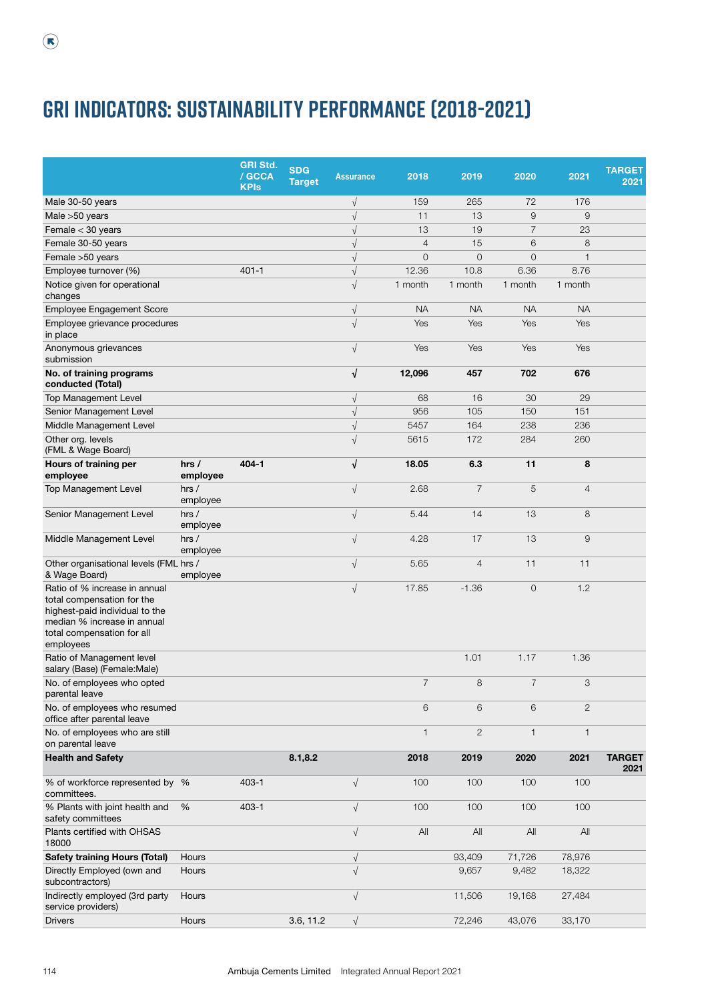|                                                                                                                                                                         |                   | <b>GRI Std.</b><br>/ GCCA<br><b>KPIs</b> | <b>SDG</b><br><b>Target</b> | <b>Assurance</b> | 2018           | 2019           | 2020           | 2021           | <b>TARGET</b><br>2021 |
|-------------------------------------------------------------------------------------------------------------------------------------------------------------------------|-------------------|------------------------------------------|-----------------------------|------------------|----------------|----------------|----------------|----------------|-----------------------|
| Male 30-50 years                                                                                                                                                        |                   |                                          |                             | $\sqrt{}$        | 159            | 265            | 72             | 176            |                       |
| Male >50 years                                                                                                                                                          |                   |                                          |                             | $\sqrt{}$        | 11             | 13             | $\mathsf g$    | 9              |                       |
| Female < 30 years                                                                                                                                                       |                   |                                          |                             | $\sqrt{}$        | 13             | 19             | $\overline{7}$ | 23             |                       |
| Female 30-50 years                                                                                                                                                      |                   |                                          |                             | $\sqrt{}$        | $\overline{4}$ | 15             | 6              | 8              |                       |
| Female > 50 years                                                                                                                                                       |                   |                                          |                             | $\sqrt{ }$       | $\mathbf 0$    | $\mathbf 0$    | 0              | $\mathbf{1}$   |                       |
| Employee turnover (%)                                                                                                                                                   |                   | $401 - 1$                                |                             | $\sqrt{ }$       | 12.36          | 10.8           | 6.36           | 8.76           |                       |
| Notice given for operational<br>changes                                                                                                                                 |                   |                                          |                             | $\sqrt{ }$       | 1 month        | 1 month        | 1 month        | 1 month        |                       |
| Employee Engagement Score                                                                                                                                               |                   |                                          |                             | $\sqrt{}$        | <b>NA</b>      | <b>NA</b>      | <b>NA</b>      | <b>NA</b>      |                       |
| Employee grievance procedures<br>in place                                                                                                                               |                   |                                          |                             | $\sqrt{}$        | Yes            | Yes            | Yes            | Yes            |                       |
| Anonymous grievances<br>submission                                                                                                                                      |                   |                                          |                             | $\sqrt{}$        | Yes            | Yes            | Yes            | Yes            |                       |
| No. of training programs<br>conducted (Total)                                                                                                                           |                   |                                          |                             | $\sqrt{ }$       | 12,096         | 457            | 702            | 676            |                       |
| Top Management Level                                                                                                                                                    |                   |                                          |                             | $\sqrt{}$        | 68             | 16             | 30             | 29             |                       |
| Senior Management Level                                                                                                                                                 |                   |                                          |                             | $\sqrt{}$        | 956            | 105            | 150            | 151            |                       |
| Middle Management Level                                                                                                                                                 |                   |                                          |                             | $\sqrt{}$        | 5457           | 164            | 238            | 236            |                       |
| Other org. levels<br>(FML & Wage Board)                                                                                                                                 |                   |                                          |                             | $\sqrt{ }$       | 5615           | 172            | 284            | 260            |                       |
| Hours of training per<br>employee                                                                                                                                       | hrs/<br>employee  | $404 - 1$                                |                             | $\sqrt{ }$       | 18.05          | 6.3            | 11             | 8              |                       |
| Top Management Level                                                                                                                                                    | hrs /<br>employee |                                          |                             | $\sqrt{}$        | 2.68           | $\overline{7}$ | 5              | $\overline{4}$ |                       |
| Senior Management Level                                                                                                                                                 | hrs /<br>employee |                                          |                             | $\sqrt{ }$       | 5.44           | 14             | 13             | 8              |                       |
| Middle Management Level                                                                                                                                                 | hrs /<br>employee |                                          |                             | $\sqrt{ }$       | 4.28           | 17             | 13             | 9              |                       |
| Other organisational levels (FML hrs /<br>& Wage Board)                                                                                                                 | employee          |                                          |                             | $\sqrt{}$        | 5.65           | $\overline{4}$ | 11             | 11             |                       |
| Ratio of % increase in annual<br>total compensation for the<br>highest-paid individual to the<br>median % increase in annual<br>total compensation for all<br>employees |                   |                                          |                             | $\sqrt{ }$       | 17.85          | $-1.36$        | $\mathbf 0$    | 1.2            |                       |
| Ratio of Management level<br>salary (Base) (Female: Male)                                                                                                               |                   |                                          |                             |                  |                | 1.01           | 1.17           | 1.36           |                       |
| No. of employees who opted<br>parental leave                                                                                                                            |                   |                                          |                             |                  | $\overline{7}$ | 8              | $\overline{7}$ | 3              |                       |
| No. of employees who resumed<br>office after parental leave                                                                                                             |                   |                                          |                             |                  | 6              | 6              | 6              | 2              |                       |
| No. of employees who are still<br>on parental leave                                                                                                                     |                   |                                          |                             |                  | $\mathbf{1}$   | $\mathbf{2}$   | $\mathbf{1}$   | $\mathbf{1}$   |                       |
| <b>Health and Safety</b>                                                                                                                                                |                   |                                          | 8.1, 8.2                    |                  | 2018           | 2019           | 2020           | 2021           | <b>TARGET</b><br>2021 |
| % of workforce represented by %<br>committees.                                                                                                                          |                   | $403 - 1$                                |                             | $\sqrt{ }$       | 100            | 100            | 100            | 100            |                       |
| % Plants with joint health and<br>safety committees                                                                                                                     | %                 | $403 - 1$                                |                             | $\sqrt{ }$       | 100            | 100            | 100            | 100            |                       |
| Plants certified with OHSAS<br>18000                                                                                                                                    |                   |                                          |                             | $\sqrt{ }$       | All            | All            | All            | All            |                       |
| <b>Safety training Hours (Total)</b>                                                                                                                                    | Hours             |                                          |                             | $\sqrt{ }$       |                | 93,409         | 71,726         | 78,976         |                       |
| Directly Employed (own and<br>subcontractors)                                                                                                                           | Hours             |                                          |                             | $\sqrt{}$        |                | 9,657          | 9,482          | 18,322         |                       |
| Indirectly employed (3rd party<br>service providers)                                                                                                                    | Hours             |                                          |                             | $\sqrt{ }$       |                | 11,506         | 19,168         | 27,484         |                       |
| <b>Drivers</b>                                                                                                                                                          | Hours             |                                          | 3.6, 11.2                   | $\sqrt{ }$       |                | 72,246         | 43,076         | 33,170         |                       |